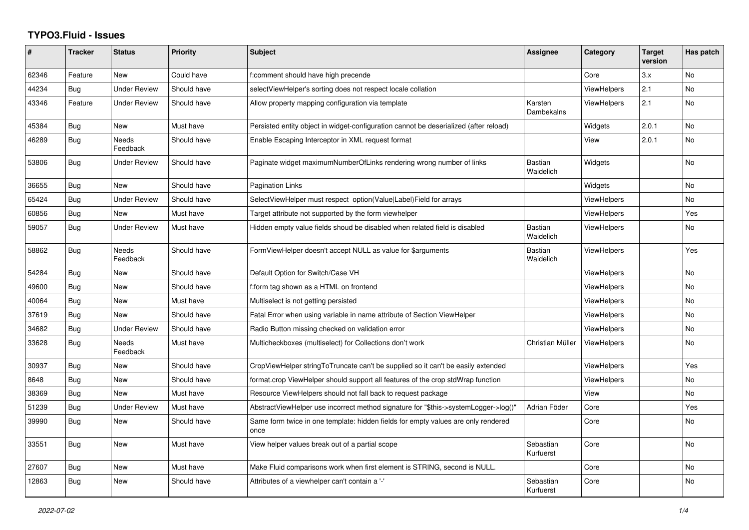## **TYPO3.Fluid - Issues**

| #     | <b>Tracker</b> | <b>Status</b>       | <b>Priority</b> | <b>Subject</b>                                                                            | Assignee                    | Category           | <b>Target</b><br>version | Has patch      |
|-------|----------------|---------------------|-----------------|-------------------------------------------------------------------------------------------|-----------------------------|--------------------|--------------------------|----------------|
| 62346 | Feature        | <b>New</b>          | Could have      | f:comment should have high precende                                                       |                             | Core               | 3.x                      | <b>No</b>      |
| 44234 | <b>Bug</b>     | Under Review        | Should have     | selectViewHelper's sorting does not respect locale collation                              |                             | ViewHelpers        | 2.1                      | No.            |
| 43346 | Feature        | <b>Under Review</b> | Should have     | Allow property mapping configuration via template                                         | Karsten<br>Dambekalns       | ViewHelpers        | 2.1                      | <b>No</b>      |
| 45384 | Bug            | New                 | Must have       | Persisted entity object in widget-configuration cannot be deserialized (after reload)     |                             | Widgets            | 2.0.1                    | <b>No</b>      |
| 46289 | Bug            | Needs<br>Feedback   | Should have     | Enable Escaping Interceptor in XML request format                                         |                             | View               | 2.0.1                    | <b>No</b>      |
| 53806 | Bug            | <b>Under Review</b> | Should have     | Paginate widget maximumNumberOfLinks rendering wrong number of links                      | Bastian<br>Waidelich        | Widgets            |                          | <b>No</b>      |
| 36655 | <b>Bug</b>     | New                 | Should have     | <b>Pagination Links</b>                                                                   |                             | Widgets            |                          | No             |
| 65424 | Bug            | <b>Under Review</b> | Should have     | SelectViewHelper must respect option(Value Label)Field for arrays                         |                             | <b>ViewHelpers</b> |                          | <b>No</b>      |
| 60856 | Bug            | New                 | Must have       | Target attribute not supported by the form viewhelper                                     |                             | <b>ViewHelpers</b> |                          | Yes            |
| 59057 | Bug            | <b>Under Review</b> | Must have       | Hidden empty value fields shoud be disabled when related field is disabled                | <b>Bastian</b><br>Waidelich | <b>ViewHelpers</b> |                          | No             |
| 58862 | Bug            | Needs<br>Feedback   | Should have     | FormViewHelper doesn't accept NULL as value for \$arguments                               | <b>Bastian</b><br>Waidelich | <b>ViewHelpers</b> |                          | Yes            |
| 54284 | Bug            | <b>New</b>          | Should have     | Default Option for Switch/Case VH                                                         |                             | <b>ViewHelpers</b> |                          | <b>No</b>      |
| 49600 | Bug            | New                 | Should have     | f:form tag shown as a HTML on frontend                                                    |                             | ViewHelpers        |                          | <b>No</b>      |
| 40064 | Bug            | <b>New</b>          | Must have       | Multiselect is not getting persisted                                                      |                             | <b>ViewHelpers</b> |                          | <b>No</b>      |
| 37619 | Bug            | <b>New</b>          | Should have     | Fatal Error when using variable in name attribute of Section ViewHelper                   |                             | ViewHelpers        |                          | No.            |
| 34682 | Bug            | <b>Under Review</b> | Should have     | Radio Button missing checked on validation error                                          |                             | <b>ViewHelpers</b> |                          | No             |
| 33628 | Bug            | Needs<br>Feedback   | Must have       | Multicheckboxes (multiselect) for Collections don't work                                  | Christian Müller            | ViewHelpers        |                          | <b>No</b>      |
| 30937 | Bug            | <b>New</b>          | Should have     | CropViewHelper stringToTruncate can't be supplied so it can't be easily extended          |                             | <b>ViewHelpers</b> |                          | Yes            |
| 8648  | <b>Bug</b>     | <b>New</b>          | Should have     | format.crop ViewHelper should support all features of the crop stdWrap function           |                             | <b>ViewHelpers</b> |                          | N <sub>o</sub> |
| 38369 | Bug            | New                 | Must have       | Resource ViewHelpers should not fall back to request package                              |                             | View               |                          | No             |
| 51239 | Bug            | <b>Under Review</b> | Must have       | AbstractViewHelper use incorrect method signature for "\$this->systemLogger->log()"       | Adrian Föder                | Core               |                          | Yes            |
| 39990 | Bug            | New                 | Should have     | Same form twice in one template: hidden fields for empty values are only rendered<br>once |                             | Core               |                          | No             |
| 33551 | Bug            | New                 | Must have       | View helper values break out of a partial scope                                           | Sebastian<br>Kurfuerst      | Core               |                          | <b>No</b>      |
| 27607 | Bug            | New                 | Must have       | Make Fluid comparisons work when first element is STRING, second is NULL.                 |                             | Core               |                          | No             |
| 12863 | Bug            | New                 | Should have     | Attributes of a viewhelper can't contain a '-'                                            | Sebastian<br>Kurfuerst      | Core               |                          | No.            |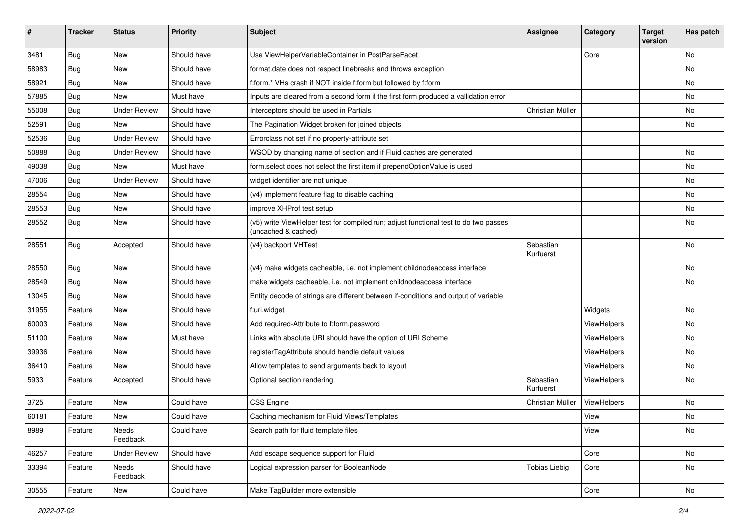| ∦     | <b>Tracker</b> | <b>Status</b>       | Priority    | Subject                                                                                                     | <b>Assignee</b>        | Category    | <b>Target</b><br>version | Has patch |
|-------|----------------|---------------------|-------------|-------------------------------------------------------------------------------------------------------------|------------------------|-------------|--------------------------|-----------|
| 3481  | Bug            | New                 | Should have | Use ViewHelperVariableContainer in PostParseFacet                                                           |                        | Core        |                          | <b>No</b> |
| 58983 | Bug            | New                 | Should have | format.date does not respect linebreaks and throws exception                                                |                        |             |                          | No        |
| 58921 | Bug            | New                 | Should have | f:form.* VHs crash if NOT inside f:form but followed by f:form                                              |                        |             |                          | No        |
| 57885 | Bug            | <b>New</b>          | Must have   | Inputs are cleared from a second form if the first form produced a vallidation error                        |                        |             |                          | <b>No</b> |
| 55008 | Bug            | <b>Under Review</b> | Should have | Interceptors should be used in Partials                                                                     | Christian Müller       |             |                          | No        |
| 52591 | Bug            | <b>New</b>          | Should have | The Pagination Widget broken for joined objects                                                             |                        |             |                          | No        |
| 52536 | Bug            | <b>Under Review</b> | Should have | Errorclass not set if no property-attribute set                                                             |                        |             |                          |           |
| 50888 | Bug            | <b>Under Review</b> | Should have | WSOD by changing name of section and if Fluid caches are generated                                          |                        |             |                          | <b>No</b> |
| 49038 | Bug            | <b>New</b>          | Must have   | form.select does not select the first item if prependOptionValue is used                                    |                        |             |                          | No        |
| 47006 | Bug            | <b>Under Review</b> | Should have | widget identifier are not unique                                                                            |                        |             |                          | No        |
| 28554 | Bug            | New                 | Should have | (v4) implement feature flag to disable caching                                                              |                        |             |                          | No        |
| 28553 | Bug            | New                 | Should have | improve XHProf test setup                                                                                   |                        |             |                          | No        |
| 28552 | <b>Bug</b>     | New                 | Should have | (v5) write ViewHelper test for compiled run; adjust functional test to do two passes<br>(uncached & cached) |                        |             |                          | <b>No</b> |
| 28551 | Bug            | Accepted            | Should have | (v4) backport VHTest                                                                                        | Sebastian<br>Kurfuerst |             |                          | <b>No</b> |
| 28550 | Bug            | New                 | Should have | (v4) make widgets cacheable, i.e. not implement childnodeaccess interface                                   |                        |             |                          | No        |
| 28549 | Bug            | New                 | Should have | make widgets cacheable, i.e. not implement childnodeaccess interface                                        |                        |             |                          | No        |
| 13045 | Bug            | New                 | Should have | Entity decode of strings are different between if-conditions and output of variable                         |                        |             |                          |           |
| 31955 | Feature        | New                 | Should have | f:uri.widget                                                                                                |                        | Widgets     |                          | No        |
| 60003 | Feature        | New                 | Should have | Add required-Attribute to f:form.password                                                                   |                        | ViewHelpers |                          | No        |
| 51100 | Feature        | New                 | Must have   | Links with absolute URI should have the option of URI Scheme                                                |                        | ViewHelpers |                          | No        |
| 39936 | Feature        | New                 | Should have | registerTagAttribute should handle default values                                                           |                        | ViewHelpers |                          | No        |
| 36410 | Feature        | New                 | Should have | Allow templates to send arguments back to layout                                                            |                        | ViewHelpers |                          | No        |
| 5933  | Feature        | Accepted            | Should have | Optional section rendering                                                                                  | Sebastian<br>Kurfuerst | ViewHelpers |                          | <b>No</b> |
| 3725  | Feature        | <b>New</b>          | Could have  | <b>CSS Engine</b>                                                                                           | Christian Müller       | ViewHelpers |                          | <b>No</b> |
| 60181 | Feature        | New                 | Could have  | Caching mechanism for Fluid Views/Templates                                                                 |                        | View        |                          | No        |
| 8989  | Feature        | Needs<br>Feedback   | Could have  | Search path for fluid template files                                                                        |                        | View        |                          | No        |
| 46257 | Feature        | <b>Under Review</b> | Should have | Add escape sequence support for Fluid                                                                       |                        | Core        |                          | No        |
| 33394 | Feature        | Needs<br>Feedback   | Should have | Logical expression parser for BooleanNode                                                                   | <b>Tobias Liebig</b>   | Core        |                          | No        |
| 30555 | Feature        | New                 | Could have  | Make TagBuilder more extensible                                                                             |                        | Core        |                          | No        |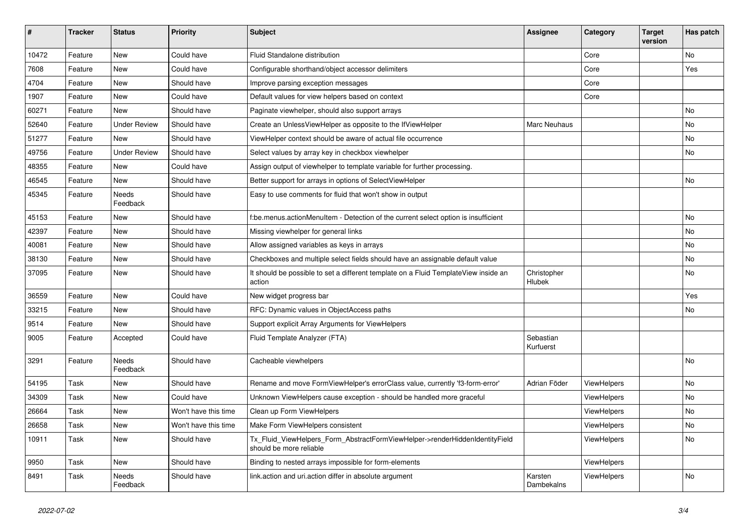| #     | <b>Tracker</b> | <b>Status</b>            | <b>Priority</b>      | <b>Subject</b>                                                                                         | <b>Assignee</b>        | Category           | <b>Target</b><br>version | Has patch |
|-------|----------------|--------------------------|----------------------|--------------------------------------------------------------------------------------------------------|------------------------|--------------------|--------------------------|-----------|
| 10472 | Feature        | New                      | Could have           | Fluid Standalone distribution                                                                          |                        | Core               |                          | No        |
| 7608  | Feature        | New                      | Could have           | Configurable shorthand/object accessor delimiters                                                      |                        | Core               |                          | Yes       |
| 4704  | Feature        | New                      | Should have          | Improve parsing exception messages                                                                     |                        | Core               |                          |           |
| 1907  | Feature        | New                      | Could have           | Default values for view helpers based on context                                                       |                        | Core               |                          |           |
| 60271 | Feature        | New                      | Should have          | Paginate viewhelper, should also support arrays                                                        |                        |                    |                          | No        |
| 52640 | Feature        | <b>Under Review</b>      | Should have          | Create an UnlessViewHelper as opposite to the IfViewHelper                                             | Marc Neuhaus           |                    |                          | <b>No</b> |
| 51277 | Feature        | New                      | Should have          | ViewHelper context should be aware of actual file occurrence                                           |                        |                    |                          | No        |
| 49756 | Feature        | <b>Under Review</b>      | Should have          | Select values by array key in checkbox viewhelper                                                      |                        |                    |                          | No        |
| 48355 | Feature        | <b>New</b>               | Could have           | Assign output of viewhelper to template variable for further processing.                               |                        |                    |                          |           |
| 46545 | Feature        | New                      | Should have          | Better support for arrays in options of SelectViewHelper                                               |                        |                    |                          | No        |
| 45345 | Feature        | Needs<br>Feedback        | Should have          | Easy to use comments for fluid that won't show in output                                               |                        |                    |                          |           |
| 45153 | Feature        | <b>New</b>               | Should have          | f:be.menus.actionMenuItem - Detection of the current select option is insufficient                     |                        |                    |                          | <b>No</b> |
| 42397 | Feature        | <b>New</b>               | Should have          | Missing viewhelper for general links                                                                   |                        |                    |                          | No        |
| 40081 | Feature        | New                      | Should have          | Allow assigned variables as keys in arrays                                                             |                        |                    |                          | No        |
| 38130 | Feature        | New                      | Should have          | Checkboxes and multiple select fields should have an assignable default value                          |                        |                    |                          | No        |
| 37095 | Feature        | New                      | Should have          | It should be possible to set a different template on a Fluid TemplateView inside an<br>action          | Christopher<br>Hlubek  |                    |                          | No        |
| 36559 | Feature        | New                      | Could have           | New widget progress bar                                                                                |                        |                    |                          | Yes       |
| 33215 | Feature        | <b>New</b>               | Should have          | RFC: Dynamic values in ObjectAccess paths                                                              |                        |                    |                          | No        |
| 9514  | Feature        | <b>New</b>               | Should have          | Support explicit Array Arguments for ViewHelpers                                                       |                        |                    |                          |           |
| 9005  | Feature        | Accepted                 | Could have           | Fluid Template Analyzer (FTA)                                                                          | Sebastian<br>Kurfuerst |                    |                          |           |
| 3291  | Feature        | <b>Needs</b><br>Feedback | Should have          | Cacheable viewhelpers                                                                                  |                        |                    |                          | No        |
| 54195 | Task           | <b>New</b>               | Should have          | Rename and move FormViewHelper's errorClass value, currently 'f3-form-error'                           | Adrian Föder           | ViewHelpers        |                          | No        |
| 34309 | Task           | <b>New</b>               | Could have           | Unknown ViewHelpers cause exception - should be handled more graceful                                  |                        | <b>ViewHelpers</b> |                          | <b>No</b> |
| 26664 | Task           | New                      | Won't have this time | Clean up Form ViewHelpers                                                                              |                        | <b>ViewHelpers</b> |                          | No        |
| 26658 | Task           | New                      | Won't have this time | Make Form ViewHelpers consistent                                                                       |                        | <b>ViewHelpers</b> |                          | No        |
| 10911 | Task           | New                      | Should have          | Tx_Fluid_ViewHelpers_Form_AbstractFormViewHelper->renderHiddenIdentityField<br>should be more reliable |                        | ViewHelpers        |                          | No        |
| 9950  | Task           | <b>New</b>               | Should have          | Binding to nested arrays impossible for form-elements                                                  |                        | ViewHelpers        |                          |           |
| 8491  | Task           | <b>Needs</b><br>Feedback | Should have          | link.action and uri.action differ in absolute argument                                                 | Karsten<br>Dambekalns  | ViewHelpers        |                          | No        |